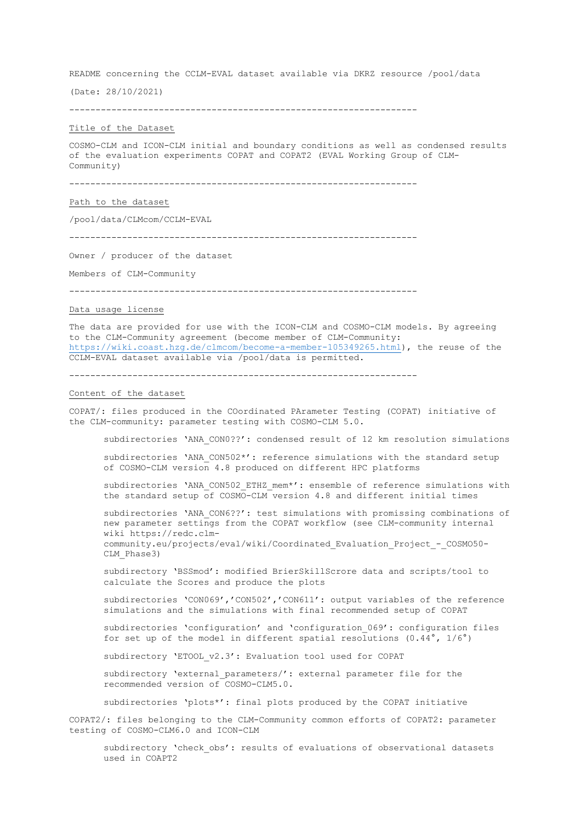README concerning the CCLM-EVAL dataset available via DKRZ resource /pool/data

(Date: 28/10/2021)

------------------------------------------------------------------

## Title of the Dataset

COSMO-CLM and ICON-CLM initial and boundary conditions as well as condensed results of the evaluation experiments COPAT and COPAT2 (EVAL Working Group of CLM-Community)

------------------------------------------------------------------

Path to the dataset

/pool/data/CLMcom/CCLM-EVAL

------------------------------------------------------------------

Owner / producer of the dataset

Members of CLM-Community

------------------------------------------------------------------

### Data usage license

The data are provided for use with the ICON-CLM and COSMO-CLM models. By agreeing to the CLM-Community agreement (become member of CLM-Community: https://wiki.coast.hzg.de/clmcom/become-a-member-105349265.html), the reuse of the CCLM-EVAL dataset available via /pool/data is permitted.

------------------------------------------------------------------

## Content of the dataset

COPAT/: files produced in the COordinated PArameter Testing (COPAT) initiative of the CLM-community: parameter testing with COSMO-CLM 5.0.

subdirectories 'ANA CON0??': condensed result of 12 km resolution simulations

subdirectories 'ANA CON502\*': reference simulations with the standard setup of COSMO-CLM version 4.8 produced on different HPC platforms

subdirectories 'ANA CON502 ETHZ mem\*': ensemble of reference simulations with the standard setup of COSMO-CLM version 4.8 and different initial times

subdirectories 'ANA\_CON6??': test simulations with promissing combinations of new parameter settings from the COPAT workflow (see CLM-community internal wiki https://redc.clmcommunity.eu/projects/eval/wiki/Coordinated\_Evaluation\_Project\_-\_COSMO50- CLM\_Phase3)

subdirectory 'BSSmod': modified BrierSkillScrore data and scripts/tool to calculate the Scores and produce the plots

subdirectories 'CON069','CON502','CON611': output variables of the reference simulations and the simulations with final recommended setup of COPAT

subdirectories 'configuration' and 'configuration 069': configuration files for set up of the model in different spatial resolutions  $(0.44^\circ, 1/6^\circ)$ 

subdirectory 'ETOOL v2.3': Evaluation tool used for COPAT

subdirectory 'external\_parameters/': external parameter file for the recommended version of COSMO-CLM5.0.

subdirectories 'plots\*': final plots produced by the COPAT initiative

COPAT2/: files belonging to the CLM-Community common efforts of COPAT2: parameter testing of COSMO-CLM6.0 and ICON-CLM

subdirectory 'check obs': results of evaluations of observational datasets used in COAPT2